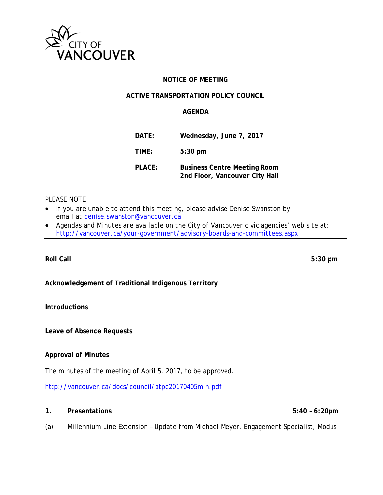

# **NOTICE OF MEETING**

# **ACTIVE TRANSPORTATION POLICY COUNCIL**

# **AGENDA**

| DATE:  | Wednesday, June 7, 2017                                               |
|--------|-----------------------------------------------------------------------|
| TIME:  | $5:30$ pm                                                             |
| PLACE: | <b>Business Centre Meeting Room</b><br>2nd Floor, Vancouver City Hall |

# *PLEASE NOTE:*

- *If you are unable to attend this meeting, please advise Denise Swanston by email at* denise.swanston@vancouver.ca
- *Agendas and Minutes are available on the City of Vancouver civic agencies' web site at: http://vancouver.ca/your-government/advisory-boards-and-committees.aspx*

**Roll Call 5:30 pm** 

# **Acknowledgement of Traditional Indigenous Territory**

### **Introductions**

**Leave of Absence Requests** 

#### **Approval of Minutes**

The minutes of the meeting of April 5, 2017, to be approved.

http://vancouver.ca/docs/council/atpc20170405min.pdf

#### **1. Presentations 5:40 – 6:20pm**

(a) Millennium Line Extension – Update from Michael Meyer, Engagement Specialist, Modus